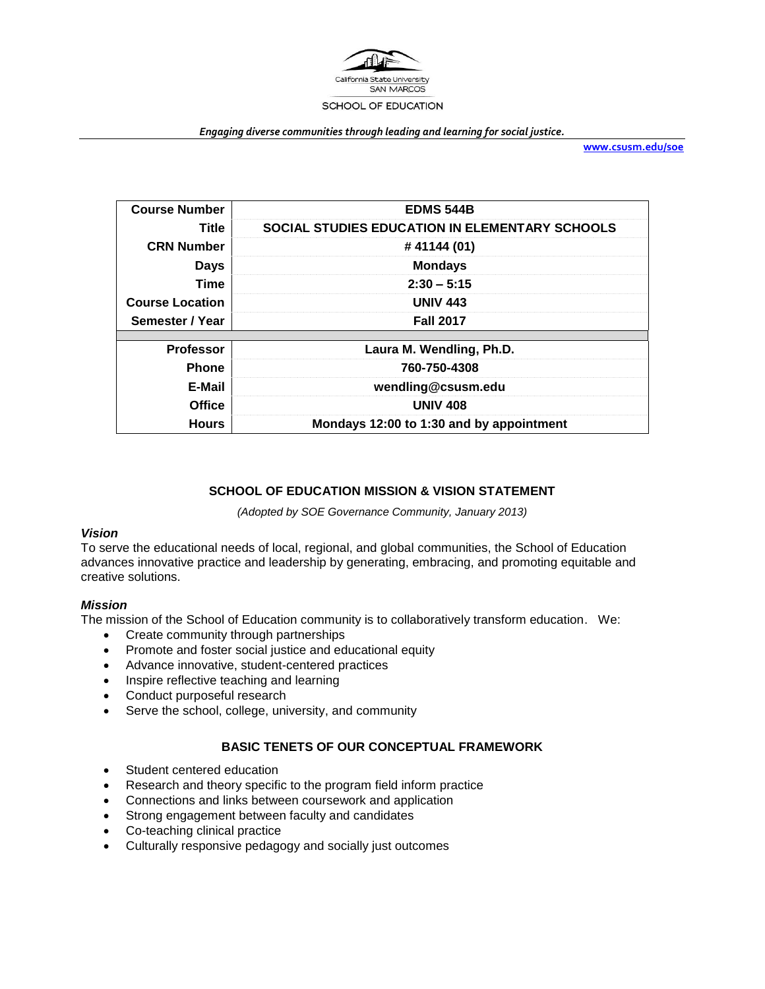

#### *Engaging diverse communities through leading and learning for social justice.*

**[www.csusm.edu/soe](http://www.csusm.edu/soe)**

| <b>Course Number</b>   | <b>EDMS 544B</b>                                      |  |  |  |
|------------------------|-------------------------------------------------------|--|--|--|
| Title                  | <b>SOCIAL STUDIES EDUCATION IN ELEMENTARY SCHOOLS</b> |  |  |  |
| <b>CRN Number</b>      | #41144 (01)                                           |  |  |  |
| <b>Days</b>            | <b>Mondays</b>                                        |  |  |  |
| Time                   | $2:30 - 5:15$                                         |  |  |  |
| <b>Course Location</b> | <b>UNIV 443</b>                                       |  |  |  |
| Semester / Year        | <b>Fall 2017</b>                                      |  |  |  |
|                        |                                                       |  |  |  |
| <b>Professor</b>       | Laura M. Wendling, Ph.D.                              |  |  |  |
| <b>Phone</b>           | 760-750-4308                                          |  |  |  |
| E-Mail                 | wendling@csusm.edu                                    |  |  |  |
| <b>Office</b>          | <b>UNIV 408</b>                                       |  |  |  |
| <b>Hours</b>           | Mondays 12:00 to 1:30 and by appointment              |  |  |  |

#### **SCHOOL OF EDUCATION MISSION & VISION STATEMENT**

*(Adopted by SOE Governance Community, January 2013)*

#### *Vision*

To serve the educational needs of local, regional, and global communities, the School of Education advances innovative practice and leadership by generating, embracing, and promoting equitable and creative solutions.

#### *Mission*

The mission of the School of Education community is to collaboratively transform education. We:

- Create community through partnerships
- Promote and foster social justice and educational equity
- Advance innovative, student-centered practices
- Inspire reflective teaching and learning
- Conduct purposeful research
- Serve the school, college, university, and community

#### **BASIC TENETS OF OUR CONCEPTUAL FRAMEWORK**

- Student centered education
- Research and theory specific to the program field inform practice
- Connections and links between coursework and application
- Strong engagement between faculty and candidates
- Co-teaching clinical practice
- Culturally responsive pedagogy and socially just outcomes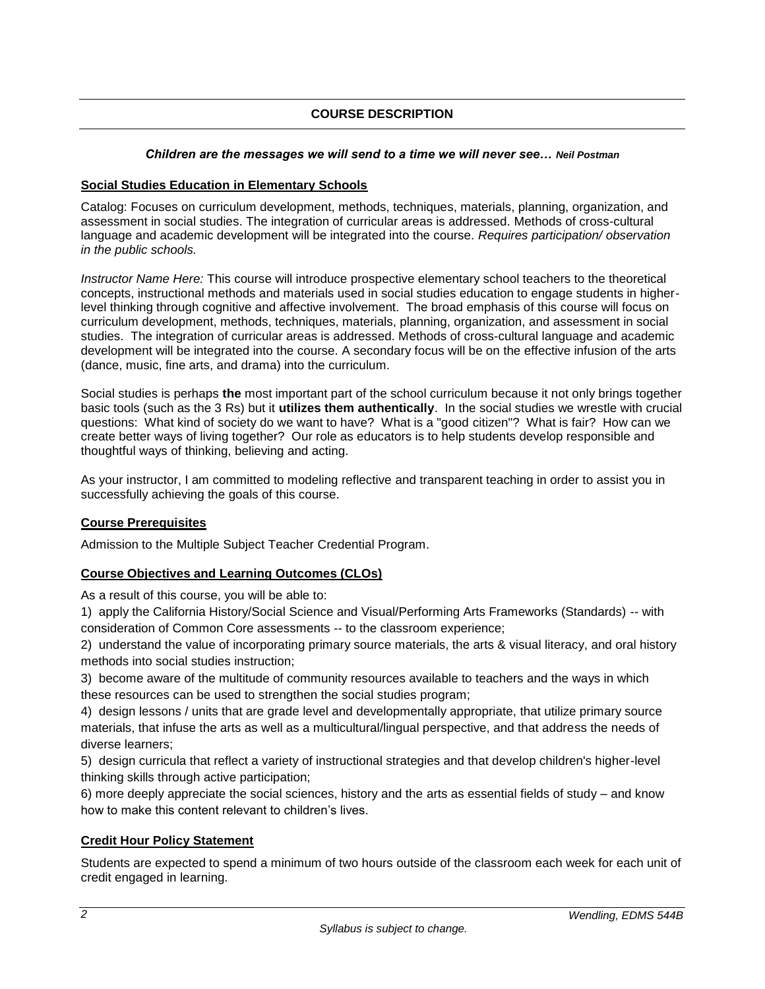# **COURSE DESCRIPTION**

#### *Children are the messages we will send to a time we will never see… Neil Postman*

#### **Social Studies Education in Elementary Schools**

Catalog: Focuses on curriculum development, methods, techniques, materials, planning, organization, and assessment in social studies. The integration of curricular areas is addressed. Methods of cross-cultural language and academic development will be integrated into the course. *Requires participation/ observation in the public schools.*

*Instructor Name Here:* This course will introduce prospective elementary school teachers to the theoretical concepts, instructional methods and materials used in social studies education to engage students in higherlevel thinking through cognitive and affective involvement. The broad emphasis of this course will focus on curriculum development, methods, techniques, materials, planning, organization, and assessment in social studies. The integration of curricular areas is addressed. Methods of cross-cultural language and academic development will be integrated into the course. A secondary focus will be on the effective infusion of the arts (dance, music, fine arts, and drama) into the curriculum.

Social studies is perhaps **the** most important part of the school curriculum because it not only brings together basic tools (such as the 3 Rs) but it **utilizes them authentically**. In the social studies we wrestle with crucial questions: What kind of society do we want to have? What is a "good citizen"? What is fair? How can we create better ways of living together? Our role as educators is to help students develop responsible and thoughtful ways of thinking, believing and acting.

As your instructor, I am committed to modeling reflective and transparent teaching in order to assist you in successfully achieving the goals of this course.

## **Course Prerequisites**

Admission to the Multiple Subject Teacher Credential Program.

## **Course Objectives and Learning Outcomes (CLOs)**

As a result of this course, you will be able to:

1) apply the California History/Social Science and Visual/Performing Arts Frameworks (Standards) -- with consideration of Common Core assessments -- to the classroom experience;

2) understand the value of incorporating primary source materials, the arts & visual literacy, and oral history methods into social studies instruction;

3) become aware of the multitude of community resources available to teachers and the ways in which these resources can be used to strengthen the social studies program;

4) design lessons / units that are grade level and developmentally appropriate, that utilize primary source materials, that infuse the arts as well as a multicultural/lingual perspective, and that address the needs of diverse learners;

5) design curricula that reflect a variety of instructional strategies and that develop children's higher-level thinking skills through active participation;

6) more deeply appreciate the social sciences, history and the arts as essential fields of study – and know how to make this content relevant to children's lives.

## **Credit Hour Policy Statement**

Students are expected to spend a minimum of two hours outside of the classroom each week for each unit of credit engaged in learning.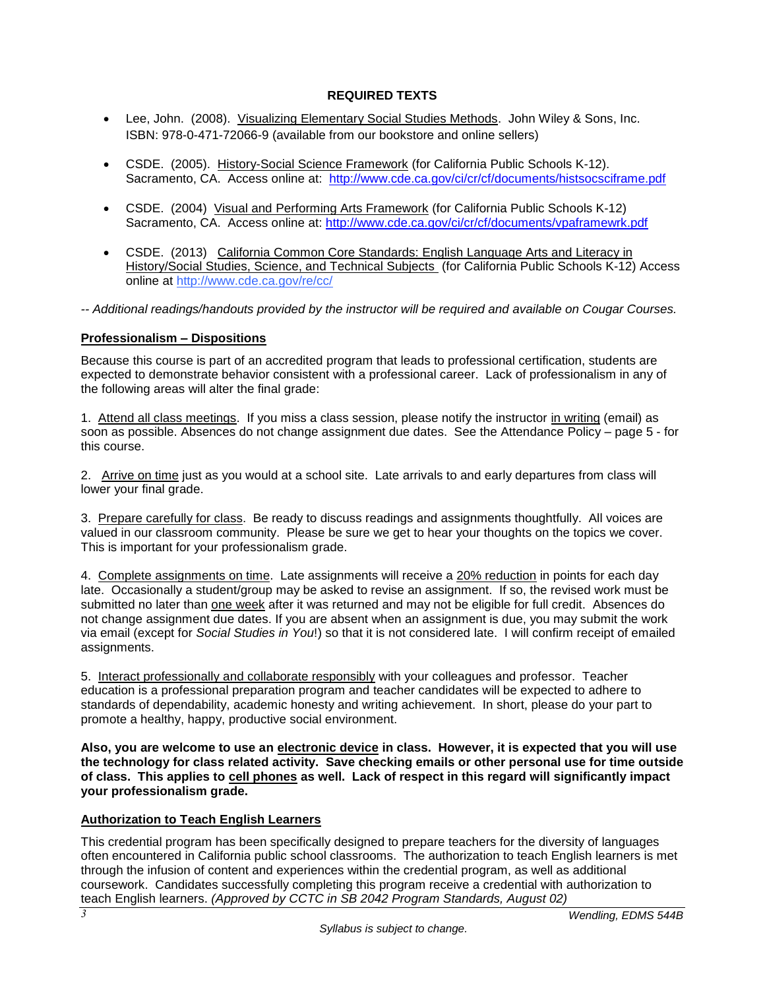# **REQUIRED TEXTS**

- Lee, John. (2008). Visualizing Elementary Social Studies Methods. John Wiley & Sons, Inc. ISBN: 978-0-471-72066-9 (available from our bookstore and online sellers)
- CSDE. (2005). History-Social Science Framework (for California Public Schools K-12). Sacramento, CA. Access online at: <http://www.cde.ca.gov/ci/cr/cf/documents/histsocsciframe.pdf>
- CSDE. (2004) Visual and Performing Arts Framework (for California Public Schools K-12) Sacramento, CA. Access online at:<http://www.cde.ca.gov/ci/cr/cf/documents/vpaframewrk.pdf>
- CSDE. (2013) California Common Core Standards: English Language Arts and Literacy in History/Social Studies, Science, and Technical Subjects (for California Public Schools K-12) Access online at<http://www.cde.ca.gov/re/cc/>

*-- Additional readings/handouts provided by the instructor will be required and available on Cougar Courses.*

#### **Professionalism – Dispositions**

Because this course is part of an accredited program that leads to professional certification, students are expected to demonstrate behavior consistent with a professional career. Lack of professionalism in any of the following areas will alter the final grade:

1. Attend all class meetings. If you miss a class session, please notify the instructor in writing (email) as soon as possible. Absences do not change assignment due dates. See the Attendance Policy – page 5 - for this course.

2. Arrive on time just as you would at a school site. Late arrivals to and early departures from class will lower your final grade.

3. Prepare carefully for class. Be ready to discuss readings and assignments thoughtfully. All voices are valued in our classroom community. Please be sure we get to hear your thoughts on the topics we cover. This is important for your professionalism grade.

4. Complete assignments on time. Late assignments will receive a 20% reduction in points for each day late. Occasionally a student/group may be asked to revise an assignment. If so, the revised work must be submitted no later than one week after it was returned and may not be eligible for full credit. Absences do not change assignment due dates. If you are absent when an assignment is due, you may submit the work via email (except for *Social Studies in You*!) so that it is not considered late. I will confirm receipt of emailed assignments.

5. Interact professionally and collaborate responsibly with your colleagues and professor. Teacher education is a professional preparation program and teacher candidates will be expected to adhere to standards of dependability, academic honesty and writing achievement. In short, please do your part to promote a healthy, happy, productive social environment.

**Also, you are welcome to use an electronic device in class. However, it is expected that you will use the technology for class related activity. Save checking emails or other personal use for time outside of class. This applies to cell phones as well. Lack of respect in this regard will significantly impact your professionalism grade.**

## **Authorization to Teach English Learners**

This credential program has been specifically designed to prepare teachers for the diversity of languages often encountered in California public school classrooms. The authorization to teach English learners is met through the infusion of content and experiences within the credential program, as well as additional coursework. Candidates successfully completing this program receive a credential with authorization to teach English learners. *(Approved by CCTC in SB 2042 Program Standards, August 02)*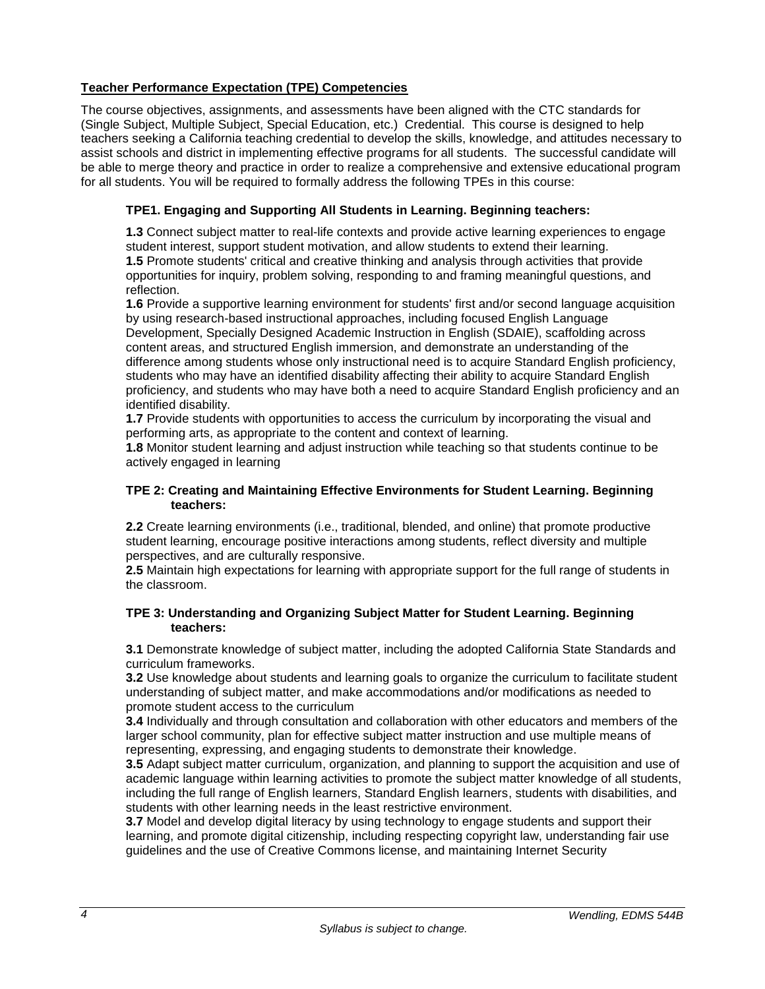# **Teacher Performance Expectation (TPE) Competencies**

The course objectives, assignments, and assessments have been aligned with the CTC standards for (Single Subject, Multiple Subject, Special Education, etc.) Credential. This course is designed to help teachers seeking a California teaching credential to develop the skills, knowledge, and attitudes necessary to assist schools and district in implementing effective programs for all students. The successful candidate will be able to merge theory and practice in order to realize a comprehensive and extensive educational program for all students. You will be required to formally address the following TPEs in this course:

# **TPE1. Engaging and Supporting All Students in Learning. Beginning teachers:**

**1.3** Connect subject matter to real-life contexts and provide active learning experiences to engage student interest, support student motivation, and allow students to extend their learning. **1.5** Promote students' critical and creative thinking and analysis through activities that provide opportunities for inquiry, problem solving, responding to and framing meaningful questions, and reflection.

**1.6** Provide a supportive learning environment for students' first and/or second language acquisition by using research-based instructional approaches, including focused English Language Development, Specially Designed Academic Instruction in English (SDAIE), scaffolding across content areas, and structured English immersion, and demonstrate an understanding of the difference among students whose only instructional need is to acquire Standard English proficiency, students who may have an identified disability affecting their ability to acquire Standard English proficiency, and students who may have both a need to acquire Standard English proficiency and an identified disability.

**1.7** Provide students with opportunities to access the curriculum by incorporating the visual and performing arts, as appropriate to the content and context of learning.

**1.8** Monitor student learning and adjust instruction while teaching so that students continue to be actively engaged in learning

#### **TPE 2: Creating and Maintaining Effective Environments for Student Learning. Beginning teachers:**

**2.2** Create learning environments (i.e., traditional, blended, and online) that promote productive student learning, encourage positive interactions among students, reflect diversity and multiple perspectives, and are culturally responsive.

**2.5** Maintain high expectations for learning with appropriate support for the full range of students in the classroom.

#### **TPE 3: Understanding and Organizing Subject Matter for Student Learning. Beginning teachers:**

**3.1** Demonstrate knowledge of subject matter, including the adopted California State Standards and curriculum frameworks.

**3.2** Use knowledge about students and learning goals to organize the curriculum to facilitate student understanding of subject matter, and make accommodations and/or modifications as needed to promote student access to the curriculum

**3.4** Individually and through consultation and collaboration with other educators and members of the larger school community, plan for effective subject matter instruction and use multiple means of representing, expressing, and engaging students to demonstrate their knowledge.

**3.5** Adapt subject matter curriculum, organization, and planning to support the acquisition and use of academic language within learning activities to promote the subject matter knowledge of all students, including the full range of English learners, Standard English learners, students with disabilities, and students with other learning needs in the least restrictive environment.

**3.7** Model and develop digital literacy by using technology to engage students and support their learning, and promote digital citizenship, including respecting copyright law, understanding fair use guidelines and the use of Creative Commons license, and maintaining Internet Security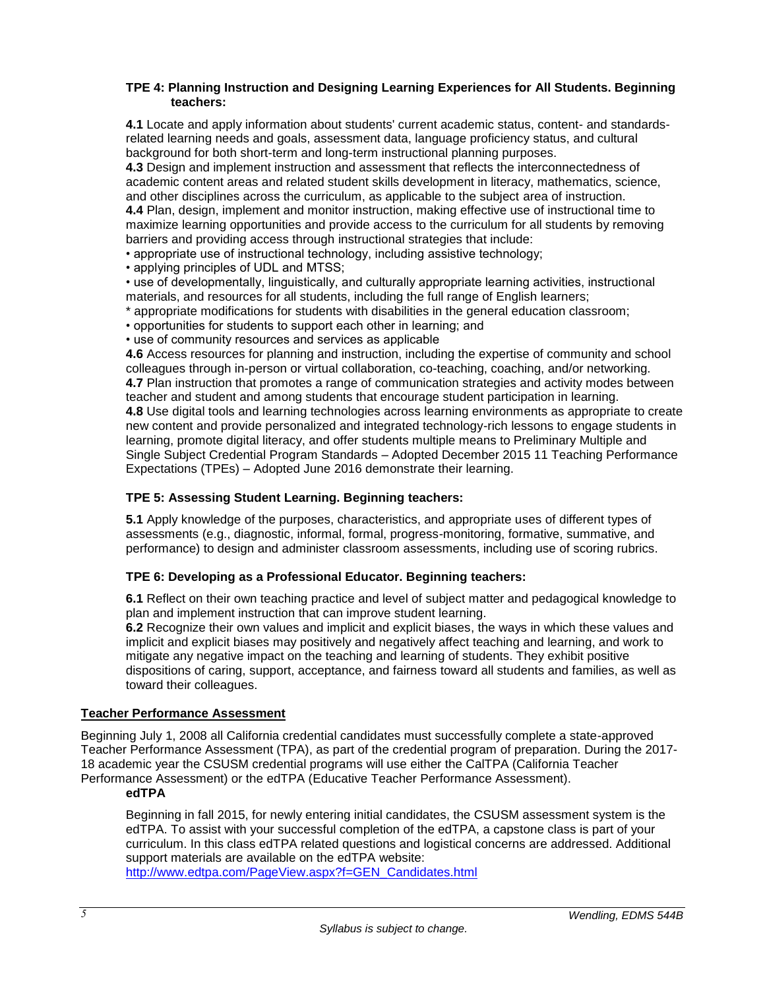#### **TPE 4: Planning Instruction and Designing Learning Experiences for All Students. Beginning teachers:**

**4.1** Locate and apply information about students' current academic status, content- and standardsrelated learning needs and goals, assessment data, language proficiency status, and cultural background for both short-term and long-term instructional planning purposes.

**4.3** Design and implement instruction and assessment that reflects the interconnectedness of academic content areas and related student skills development in literacy, mathematics, science, and other disciplines across the curriculum, as applicable to the subject area of instruction.

**4.4** Plan, design, implement and monitor instruction, making effective use of instructional time to maximize learning opportunities and provide access to the curriculum for all students by removing barriers and providing access through instructional strategies that include:

- appropriate use of instructional technology, including assistive technology;
- applying principles of UDL and MTSS;

• use of developmentally, linguistically, and culturally appropriate learning activities, instructional materials, and resources for all students, including the full range of English learners;

- \* appropriate modifications for students with disabilities in the general education classroom;
- opportunities for students to support each other in learning; and
- use of community resources and services as applicable

**4.6** Access resources for planning and instruction, including the expertise of community and school colleagues through in-person or virtual collaboration, co-teaching, coaching, and/or networking. **4.7** Plan instruction that promotes a range of communication strategies and activity modes between teacher and student and among students that encourage student participation in learning. **4.8** Use digital tools and learning technologies across learning environments as appropriate to create new content and provide personalized and integrated technology-rich lessons to engage students in learning, promote digital literacy, and offer students multiple means to Preliminary Multiple and Single Subject Credential Program Standards – Adopted December 2015 11 Teaching Performance Expectations (TPEs) – Adopted June 2016 demonstrate their learning.

## **TPE 5: Assessing Student Learning. Beginning teachers:**

**5.1** Apply knowledge of the purposes, characteristics, and appropriate uses of different types of assessments (e.g., diagnostic, informal, formal, progress-monitoring, formative, summative, and performance) to design and administer classroom assessments, including use of scoring rubrics.

## **TPE 6: Developing as a Professional Educator. Beginning teachers:**

**6.1** Reflect on their own teaching practice and level of subject matter and pedagogical knowledge to plan and implement instruction that can improve student learning.

**6.2** Recognize their own values and implicit and explicit biases, the ways in which these values and implicit and explicit biases may positively and negatively affect teaching and learning, and work to mitigate any negative impact on the teaching and learning of students. They exhibit positive dispositions of caring, support, acceptance, and fairness toward all students and families, as well as toward their colleagues.

## **Teacher Performance Assessment**

Beginning July 1, 2008 all California credential candidates must successfully complete a state-approved Teacher Performance Assessment (TPA), as part of the credential program of preparation. During the 2017- 18 academic year the CSUSM credential programs will use either the CalTPA (California Teacher Performance Assessment) or the edTPA (Educative Teacher Performance Assessment).

#### **edTPA**

Beginning in fall 2015, for newly entering initial candidates, the CSUSM assessment system is the edTPA. To assist with your successful completion of the edTPA, a capstone class is part of your curriculum. In this class edTPA related questions and logistical concerns are addressed. Additional support materials are available on the edTPA website:

[http://www.edtpa.com/PageView.aspx?f=GEN\\_Candidates.html](http://www.edtpa.com/PageView.aspx?f=GEN_Candidates.html)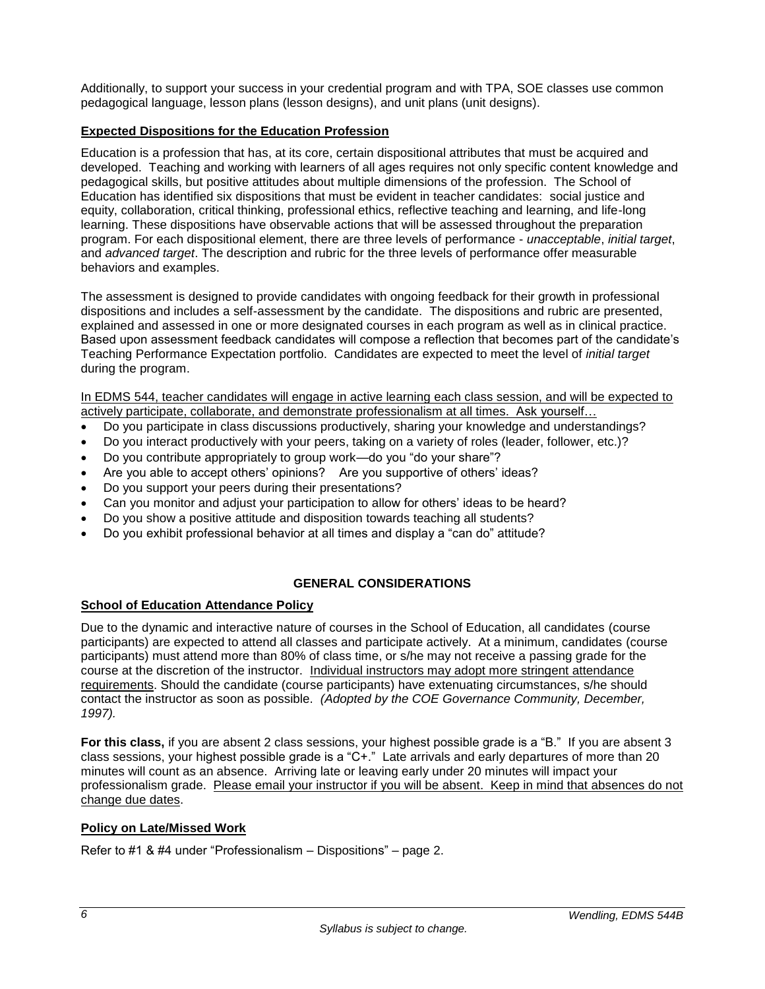Additionally, to support your success in your credential program and with TPA, SOE classes use common pedagogical language, lesson plans (lesson designs), and unit plans (unit designs).

# **Expected Dispositions for the Education Profession**

Education is a profession that has, at its core, certain dispositional attributes that must be acquired and developed. Teaching and working with learners of all ages requires not only specific content knowledge and pedagogical skills, but positive attitudes about multiple dimensions of the profession. The School of Education has identified six dispositions that must be evident in teacher candidates: social justice and equity, collaboration, critical thinking, professional ethics, reflective teaching and learning, and life-long learning. These dispositions have observable actions that will be assessed throughout the preparation program. For each dispositional element, there are three levels of performance - *unacceptable*, *initial target*, and *advanced target*. The description and rubric for the three levels of performance offer measurable behaviors and examples.

The assessment is designed to provide candidates with ongoing feedback for their growth in professional dispositions and includes a self-assessment by the candidate. The dispositions and rubric are presented, explained and assessed in one or more designated courses in each program as well as in clinical practice. Based upon assessment feedback candidates will compose a reflection that becomes part of the candidate's Teaching Performance Expectation portfolio. Candidates are expected to meet the level of *initial target* during the program.

In EDMS 544, teacher candidates will engage in active learning each class session, and will be expected to actively participate, collaborate, and demonstrate professionalism at all times. Ask yourself…

- Do you participate in class discussions productively, sharing your knowledge and understandings?
- Do you interact productively with your peers, taking on a variety of roles (leader, follower, etc.)?
- Do you contribute appropriately to group work—do you "do your share"?
- Are you able to accept others' opinions? Are you supportive of others' ideas?
- Do you support your peers during their presentations?
- Can you monitor and adjust your participation to allow for others' ideas to be heard?
- Do you show a positive attitude and disposition towards teaching all students?
- Do you exhibit professional behavior at all times and display a "can do" attitude?

# **GENERAL CONSIDERATIONS**

## **School of Education Attendance Policy**

Due to the dynamic and interactive nature of courses in the School of Education, all candidates (course participants) are expected to attend all classes and participate actively. At a minimum, candidates (course participants) must attend more than 80% of class time, or s/he may not receive a passing grade for the course at the discretion of the instructor. Individual instructors may adopt more stringent attendance requirements. Should the candidate (course participants) have extenuating circumstances, s/he should contact the instructor as soon as possible. *(Adopted by the COE Governance Community, December, 1997).*

**For this class,** if you are absent 2 class sessions, your highest possible grade is a "B." If you are absent 3 class sessions, your highest possible grade is a "C+." Late arrivals and early departures of more than 20 minutes will count as an absence.Arriving late or leaving early under 20 minutes will impact your professionalism grade. Please email your instructor if you will be absent. Keep in mind that absences do not change due dates.

## **Policy on Late/Missed Work**

Refer to #1 & #4 under "Professionalism – Dispositions" – page 2.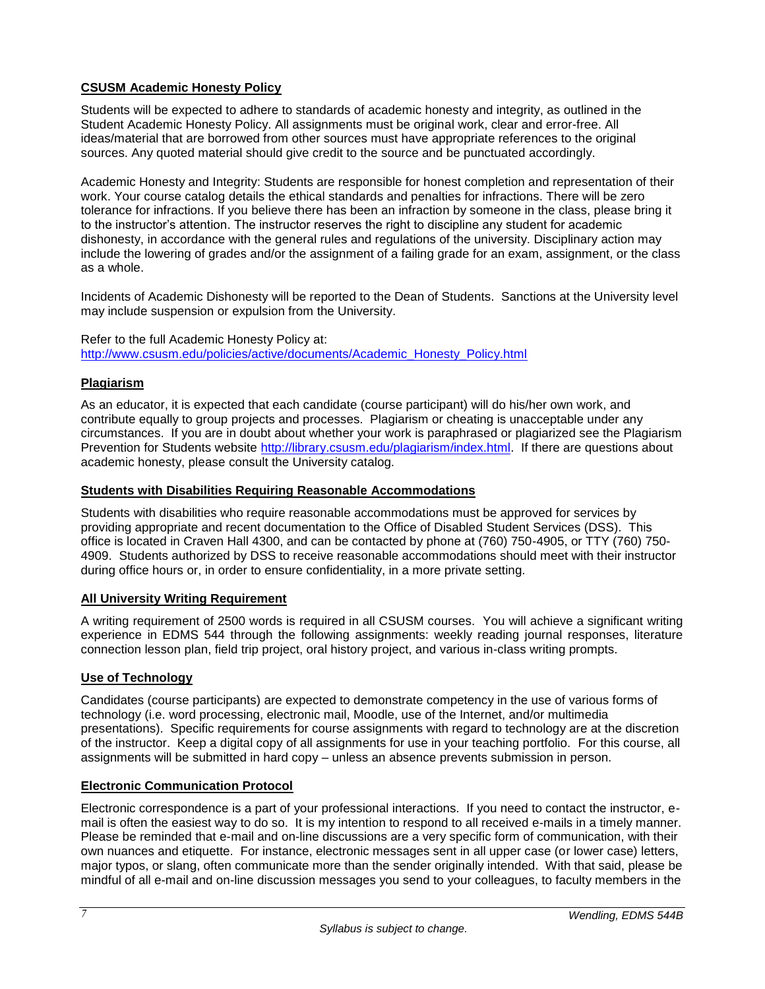# **CSUSM Academic Honesty Policy**

Students will be expected to adhere to standards of academic honesty and integrity, as outlined in the Student Academic Honesty Policy. All assignments must be original work, clear and error-free. All ideas/material that are borrowed from other sources must have appropriate references to the original sources. Any quoted material should give credit to the source and be punctuated accordingly.

Academic Honesty and Integrity: Students are responsible for honest completion and representation of their work. Your course catalog details the ethical standards and penalties for infractions. There will be zero tolerance for infractions. If you believe there has been an infraction by someone in the class, please bring it to the instructor's attention. The instructor reserves the right to discipline any student for academic dishonesty, in accordance with the general rules and regulations of the university. Disciplinary action may include the lowering of grades and/or the assignment of a failing grade for an exam, assignment, or the class as a whole.

Incidents of Academic Dishonesty will be reported to the Dean of Students. Sanctions at the University level may include suspension or expulsion from the University.

Refer to the full Academic Honesty Policy at: [http://www.csusm.edu/policies/active/documents/Academic\\_Honesty\\_Policy.html](http://www.csusm.edu/policies/active/documents/Academic_Honesty_Policy.html)

# **Plagiarism**

As an educator, it is expected that each candidate (course participant) will do his/her own work, and contribute equally to group projects and processes. Plagiarism or cheating is unacceptable under any circumstances. If you are in doubt about whether your work is paraphrased or plagiarized see the Plagiarism Prevention for Students website [http://library.csusm.edu/plagiarism/index.html.](http://library.csusm.edu/plagiarism/index.html) If there are questions about academic honesty, please consult the University catalog.

## **Students with Disabilities Requiring Reasonable Accommodations**

Students with disabilities who require reasonable accommodations must be approved for services by providing appropriate and recent documentation to the Office of Disabled Student Services (DSS). This office is located in Craven Hall 4300, and can be contacted by phone at (760) 750-4905, or TTY (760) 750- 4909. Students authorized by DSS to receive reasonable accommodations should meet with their instructor during office hours or, in order to ensure confidentiality, in a more private setting.

## **All University Writing Requirement**

A writing requirement of 2500 words is required in all CSUSM courses. You will achieve a significant writing experience in EDMS 544 through the following assignments: weekly reading journal responses, literature connection lesson plan, field trip project, oral history project, and various in-class writing prompts.

# **Use of Technology**

Candidates (course participants) are expected to demonstrate competency in the use of various forms of technology (i.e. word processing, electronic mail, Moodle, use of the Internet, and/or multimedia presentations). Specific requirements for course assignments with regard to technology are at the discretion of the instructor. Keep a digital copy of all assignments for use in your teaching portfolio. For this course, all assignments will be submitted in hard copy – unless an absence prevents submission in person.

# **Electronic Communication Protocol**

Electronic correspondence is a part of your professional interactions. If you need to contact the instructor, email is often the easiest way to do so. It is my intention to respond to all received e-mails in a timely manner. Please be reminded that e-mail and on-line discussions are a very specific form of communication, with their own nuances and etiquette. For instance, electronic messages sent in all upper case (or lower case) letters, major typos, or slang, often communicate more than the sender originally intended. With that said, please be mindful of all e-mail and on-line discussion messages you send to your colleagues, to faculty members in the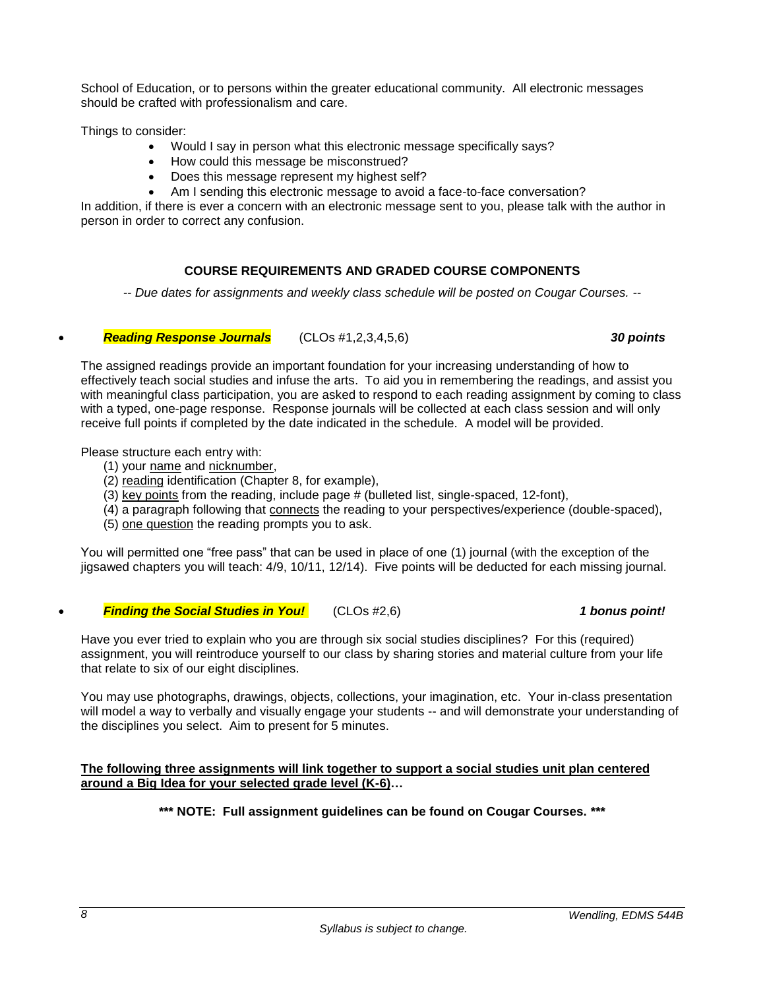School of Education, or to persons within the greater educational community. All electronic messages should be crafted with professionalism and care.

Things to consider:

- Would I say in person what this electronic message specifically says?
- How could this message be misconstrued?
- Does this message represent my highest self?
- Am I sending this electronic message to avoid a face-to-face conversation?

In addition, if there is ever a concern with an electronic message sent to you, please talk with the author in person in order to correct any confusion.

## **COURSE REQUIREMENTS AND GRADED COURSE COMPONENTS**

*-- Due dates for assignments and weekly class schedule will be posted on Cougar Courses. --*

*Reading Response Journals* (CLOs #1,2,3,4,5,6) *30 points*

The assigned readings provide an important foundation for your increasing understanding of how to effectively teach social studies and infuse the arts. To aid you in remembering the readings, and assist you with meaningful class participation, you are asked to respond to each reading assignment by coming to class with a typed, one-page response. Response journals will be collected at each class session and will only receive full points if completed by the date indicated in the schedule. A model will be provided.

Please structure each entry with:

- (1) your name and nicknumber,
- (2) reading identification (Chapter 8, for example),
- (3) key points from the reading, include page # (bulleted list, single-spaced, 12-font),
- (4) a paragraph following that connects the reading to your perspectives/experience (double-spaced),
- (5) one question the reading prompts you to ask.

You will permitted one "free pass" that can be used in place of one (1) journal (with the exception of the jigsawed chapters you will teach: 4/9, 10/11, 12/14). Five points will be deducted for each missing journal.

*Finding the Social Studies in You!* (CLOs #2,6) *1 bonus point!*

Have you ever tried to explain who you are through six social studies disciplines? For this (required) assignment, you will reintroduce yourself to our class by sharing stories and material culture from your life that relate to six of our eight disciplines.

You may use photographs, drawings, objects, collections, your imagination, etc. Your in-class presentation will model a way to verbally and visually engage your students -- and will demonstrate your understanding of the disciplines you select. Aim to present for 5 minutes.

#### **The following three assignments will link together to support a social studies unit plan centered around a Big Idea for your selected grade level (K-6)…**

**\*\*\* NOTE: Full assignment guidelines can be found on Cougar Courses. \*\*\***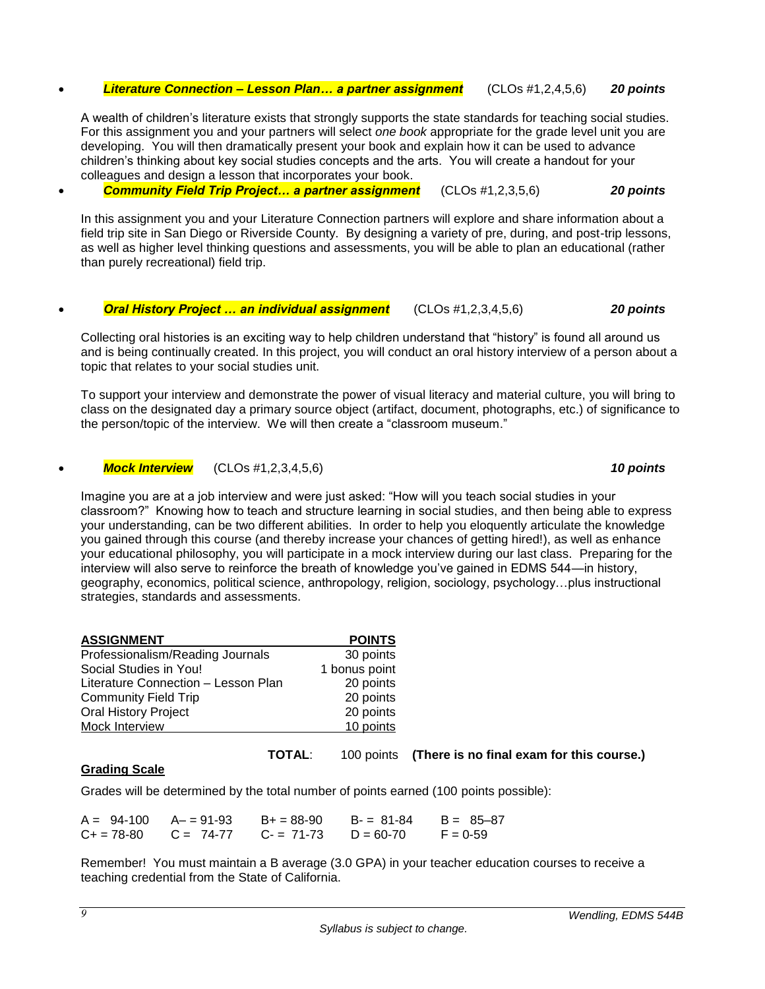## *Literature Connection – Lesson Plan… a partner assignment* (CLOs #1,2,4,5,6) *20 points*

A wealth of children's literature exists that strongly supports the state standards for teaching social studies. For this assignment you and your partners will select *one book* appropriate for the grade level unit you are developing. You will then dramatically present your book and explain how it can be used to advance children's thinking about key social studies concepts and the arts. You will create a handout for your colleagues and design a lesson that incorporates your book.

*Community Field Trip Project… a partner assignment* (CLOs #1,2,3,5,6) *20 points*

In this assignment you and your Literature Connection partners will explore and share information about a field trip site in San Diego or Riverside County. By designing a variety of pre, during, and post-trip lessons, as well as higher level thinking questions and assessments, you will be able to plan an educational (rather than purely recreational) field trip.

*Oral History Project … an individual assignment* (CLOs #1,2,3,4,5,6) *20 points*

Collecting oral histories is an exciting way to help children understand that "history" is found all around us and is being continually created. In this project, you will conduct an oral history interview of a person about a topic that relates to your social studies unit.

To support your interview and demonstrate the power of visual literacy and material culture, you will bring to class on the designated day a primary source object (artifact, document, photographs, etc.) of significance to the person/topic of the interview. We will then create a "classroom museum."

*Mock Interview* (CLOs #1,2,3,4,5,6) *10 points*

Imagine you are at a job interview and were just asked: "How will you teach social studies in your classroom?" Knowing how to teach and structure learning in social studies, and then being able to express your understanding, can be two different abilities. In order to help you eloquently articulate the knowledge you gained through this course (and thereby increase your chances of getting hired!), as well as enhance your educational philosophy, you will participate in a mock interview during our last class. Preparing for the interview will also serve to reinforce the breath of knowledge you've gained in EDMS 544—in history, geography, economics, political science, anthropology, religion, sociology, psychology…plus instructional strategies, standards and assessments.

| <b>ASSIGNMENT</b>                   | <b>POINTS</b> |
|-------------------------------------|---------------|
| Professionalism/Reading Journals    | 30 points     |
| Social Studies in You!              | 1 bonus point |
| Literature Connection - Lesson Plan | 20 points     |
| <b>Community Field Trip</b>         | 20 points     |
| <b>Oral History Project</b>         | 20 points     |
| Mock Interview                      | 10 points     |

 **TOTAL**: 100 points **(There is no final exam for this course.)**

## **Grading Scale**

Grades will be determined by the total number of points earned (100 points possible):

| $A = 94-100$ $A = 91-93$ |             | $B+ = 88-90$ | $B = 81 - 84$ | $B = 85 - 87$ |
|--------------------------|-------------|--------------|---------------|---------------|
| $C_{+}$ = 78-80          | $C = 74-77$ | $C = 71-73$  | $D = 60-70$   | $F = 0.59$    |

Remember! You must maintain a B average (3.0 GPA) in your teacher education courses to receive a teaching credential from the State of California.